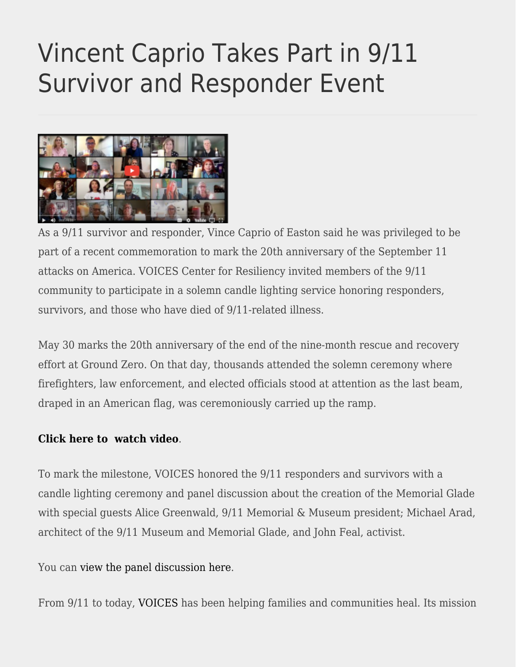## [Vincent Caprio Takes Part in 9/11](https://eastoncourier.news/2022/06/13/vincent-caprio-takes-part-in-9-11-survivor-and-responder-event/) [Survivor and Responder Event](https://eastoncourier.news/2022/06/13/vincent-caprio-takes-part-in-9-11-survivor-and-responder-event/)



As a 9/11 survivor and responder, Vince Caprio of Easton said he was privileged to be part of a recent commemoration to mark the 20th anniversary of the September 11 attacks on America. VOICES Center for Resiliency invited members of the 9/11 community to participate in a solemn candle lighting service honoring responders, survivors, and those who have died of 9/11-related illness.

May 30 marks the 20th anniversary of the end of the nine-month rescue and recovery effort at Ground Zero. On that day, thousands attended the solemn ceremony where firefighters, law enforcement, and elected officials stood at attention as the last beam, draped in an American flag, was ceremoniously carried up the ramp.

## **[Click here to watch video](https://voicescenter.org/videos/may-30th-anniversary-candle-lighting-ceremony)**.

To mark the milestone, VOICES honored the 9/11 responders and survivors with a candle lighting ceremony and panel discussion about the creation of the Memorial Glade with special guests Alice Greenwald, 9/11 Memorial & Museum president; Michael Arad, architect of the 9/11 Museum and Memorial Glade, and John Feal, activist.

You can [view the panel discussion here](https://voicescenter.org/videos/commemorating-911-responders-survivors).

From 9/11 to today, [VOICES](https://voicescenter.org/about/history) has been helping families and communities heal. Its mission